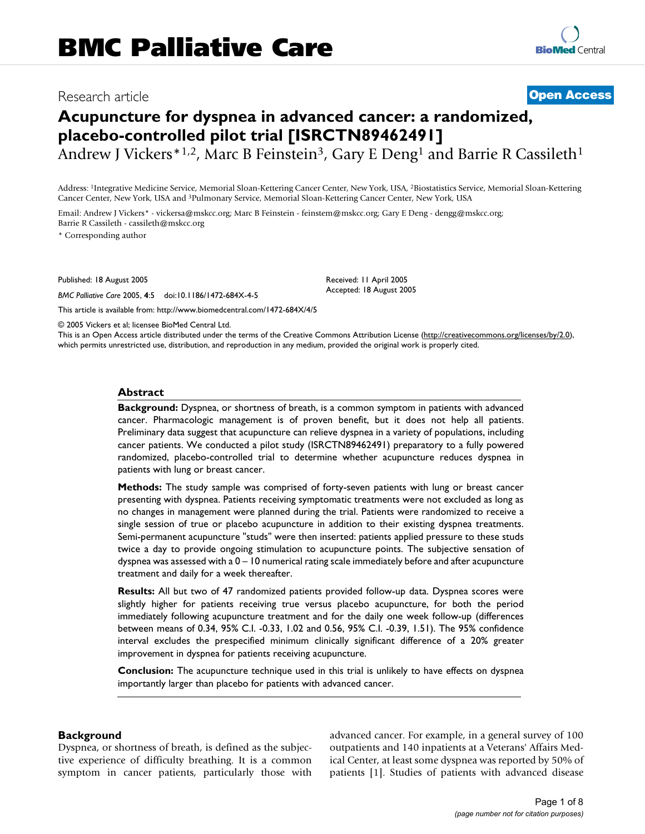## Research article **[Open Access](http://www.biomedcentral.com/info/about/charter/)**

# **Acupuncture for dyspnea in advanced cancer: a randomized, placebo-controlled pilot trial [ISRCTN89462491]**

Andrew J Vickers<sup>\*1,2</sup>, Marc B Feinstein<sup>3</sup>, Gary E Deng<sup>1</sup> and Barrie R Cassileth<sup>1</sup>

Address: 1Integrative Medicine Service, Memorial Sloan-Kettering Cancer Center, New York, USA, 2Biostatistics Service, Memorial Sloan-Kettering Cancer Center, New York, USA and 3Pulmonary Service, Memorial Sloan-Kettering Cancer Center, New York, USA

Email: Andrew J Vickers\* - vickersa@mskcc.org; Marc B Feinstein - feinstem@mskcc.org; Gary E Deng - dengg@mskcc.org; Barrie R Cassileth - cassileth@mskcc.org

\* Corresponding author

Published: 18 August 2005

*BMC Palliative Care* 2005, **4**:5 doi:10.1186/1472-684X-4-5

[This article is available from: http://www.biomedcentral.com/1472-684X/4/5](http://www.biomedcentral.com/1472-684X/4/5)

Received: 11 April 2005 Accepted: 18 August 2005

© 2005 Vickers et al; licensee BioMed Central Ltd.

This is an Open Access article distributed under the terms of the Creative Commons Attribution License [\(http://creativecommons.org/licenses/by/2.0\)](http://creativecommons.org/licenses/by/2.0), which permits unrestricted use, distribution, and reproduction in any medium, provided the original work is properly cited.

#### **Abstract**

**Background:** Dyspnea, or shortness of breath, is a common symptom in patients with advanced cancer. Pharmacologic management is of proven benefit, but it does not help all patients. Preliminary data suggest that acupuncture can relieve dyspnea in a variety of populations, including cancer patients. We conducted a pilot study (ISRCTN89462491) preparatory to a fully powered randomized, placebo-controlled trial to determine whether acupuncture reduces dyspnea in patients with lung or breast cancer.

**Methods:** The study sample was comprised of forty-seven patients with lung or breast cancer presenting with dyspnea. Patients receiving symptomatic treatments were not excluded as long as no changes in management were planned during the trial. Patients were randomized to receive a single session of true or placebo acupuncture in addition to their existing dyspnea treatments. Semi-permanent acupuncture "studs" were then inserted: patients applied pressure to these studs twice a day to provide ongoing stimulation to acupuncture points. The subjective sensation of dyspnea was assessed with a 0 – 10 numerical rating scale immediately before and after acupuncture treatment and daily for a week thereafter.

**Results:** All but two of 47 randomized patients provided follow-up data. Dyspnea scores were slightly higher for patients receiving true versus placebo acupuncture, for both the period immediately following acupuncture treatment and for the daily one week follow-up (differences between means of 0.34, 95% C.I. -0.33, 1.02 and 0.56, 95% C.I. -0.39, 1.51). The 95% confidence interval excludes the prespecified minimum clinically significant difference of a 20% greater improvement in dyspnea for patients receiving acupuncture.

**Conclusion:** The acupuncture technique used in this trial is unlikely to have effects on dyspnea importantly larger than placebo for patients with advanced cancer.

#### **Background**

Dyspnea, or shortness of breath, is defined as the subjective experience of difficulty breathing. It is a common symptom in cancer patients, particularly those with advanced cancer. For example, in a general survey of 100 outpatients and 140 inpatients at a Veterans' Affairs Medical Center, at least some dyspnea was reported by 50% of patients [1]. Studies of patients with advanced disease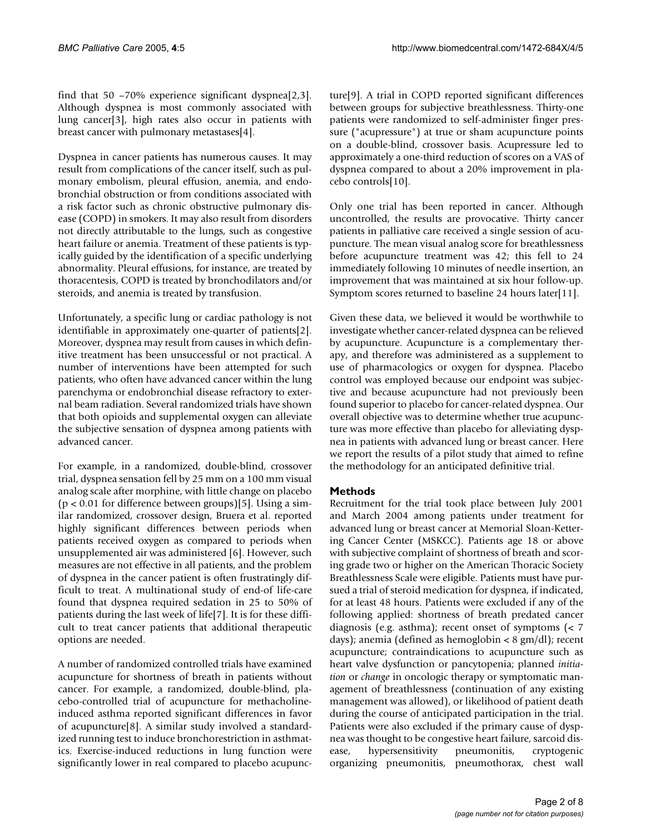find that 50 –70% experience significant dyspnea[2,3]. Although dyspnea is most commonly associated with lung cancer[3], high rates also occur in patients with breast cancer with pulmonary metastases[4].

Dyspnea in cancer patients has numerous causes. It may result from complications of the cancer itself, such as pulmonary embolism, pleural effusion, anemia, and endobronchial obstruction or from conditions associated with a risk factor such as chronic obstructive pulmonary disease (COPD) in smokers. It may also result from disorders not directly attributable to the lungs, such as congestive heart failure or anemia. Treatment of these patients is typically guided by the identification of a specific underlying abnormality. Pleural effusions, for instance, are treated by thoracentesis, COPD is treated by bronchodilators and/or steroids, and anemia is treated by transfusion.

Unfortunately, a specific lung or cardiac pathology is not identifiable in approximately one-quarter of patients[2]. Moreover, dyspnea may result from causes in which definitive treatment has been unsuccessful or not practical. A number of interventions have been attempted for such patients, who often have advanced cancer within the lung parenchyma or endobronchial disease refractory to external beam radiation. Several randomized trials have shown that both opioids and supplemental oxygen can alleviate the subjective sensation of dyspnea among patients with advanced cancer.

For example, in a randomized, double-blind, crossover trial, dyspnea sensation fell by 25 mm on a 100 mm visual analog scale after morphine, with little change on placebo  $(p < 0.01$  for difference between groups)[5]. Using a similar randomized, crossover design, Bruera et al. reported highly significant differences between periods when patients received oxygen as compared to periods when unsupplemented air was administered [6]. However, such measures are not effective in all patients, and the problem of dyspnea in the cancer patient is often frustratingly difficult to treat. A multinational study of end-of life-care found that dyspnea required sedation in 25 to 50% of patients during the last week of life[7]. It is for these difficult to treat cancer patients that additional therapeutic options are needed.

A number of randomized controlled trials have examined acupuncture for shortness of breath in patients without cancer. For example, a randomized, double-blind, placebo-controlled trial of acupuncture for methacholineinduced asthma reported significant differences in favor of acupuncture[8]. A similar study involved a standardized running test to induce bronchorestriction in asthmatics. Exercise-induced reductions in lung function were significantly lower in real compared to placebo acupuncture[9]. A trial in COPD reported significant differences between groups for subjective breathlessness. Thirty-one patients were randomized to self-administer finger pressure ("acupressure") at true or sham acupuncture points on a double-blind, crossover basis. Acupressure led to approximately a one-third reduction of scores on a VAS of dyspnea compared to about a 20% improvement in placebo controls[10].

Only one trial has been reported in cancer. Although uncontrolled, the results are provocative. Thirty cancer patients in palliative care received a single session of acupuncture. The mean visual analog score for breathlessness before acupuncture treatment was 42; this fell to 24 immediately following 10 minutes of needle insertion, an improvement that was maintained at six hour follow-up. Symptom scores returned to baseline 24 hours later[11].

Given these data, we believed it would be worthwhile to investigate whether cancer-related dyspnea can be relieved by acupuncture. Acupuncture is a complementary therapy, and therefore was administered as a supplement to use of pharmacologics or oxygen for dyspnea. Placebo control was employed because our endpoint was subjective and because acupuncture had not previously been found superior to placebo for cancer-related dyspnea. Our overall objective was to determine whether true acupuncture was more effective than placebo for alleviating dyspnea in patients with advanced lung or breast cancer. Here we report the results of a pilot study that aimed to refine the methodology for an anticipated definitive trial.

## **Methods**

Recruitment for the trial took place between July 2001 and March 2004 among patients under treatment for advanced lung or breast cancer at Memorial Sloan-Kettering Cancer Center (MSKCC). Patients age 18 or above with subjective complaint of shortness of breath and scoring grade two or higher on the American Thoracic Society Breathlessness Scale were eligible. Patients must have pursued a trial of steroid medication for dyspnea, if indicated, for at least 48 hours. Patients were excluded if any of the following applied: shortness of breath predated cancer diagnosis (e.g. asthma); recent onset of symptoms (< 7 days); anemia (defined as hemoglobin < 8 gm/dl); recent acupuncture; contraindications to acupuncture such as heart valve dysfunction or pancytopenia; planned *initiation* or *change* in oncologic therapy or symptomatic management of breathlessness (continuation of any existing management was allowed), or likelihood of patient death during the course of anticipated participation in the trial. Patients were also excluded if the primary cause of dyspnea was thought to be congestive heart failure, sarcoid disease, hypersensitivity pneumonitis, cryptogenic organizing pneumonitis, pneumothorax, chest wall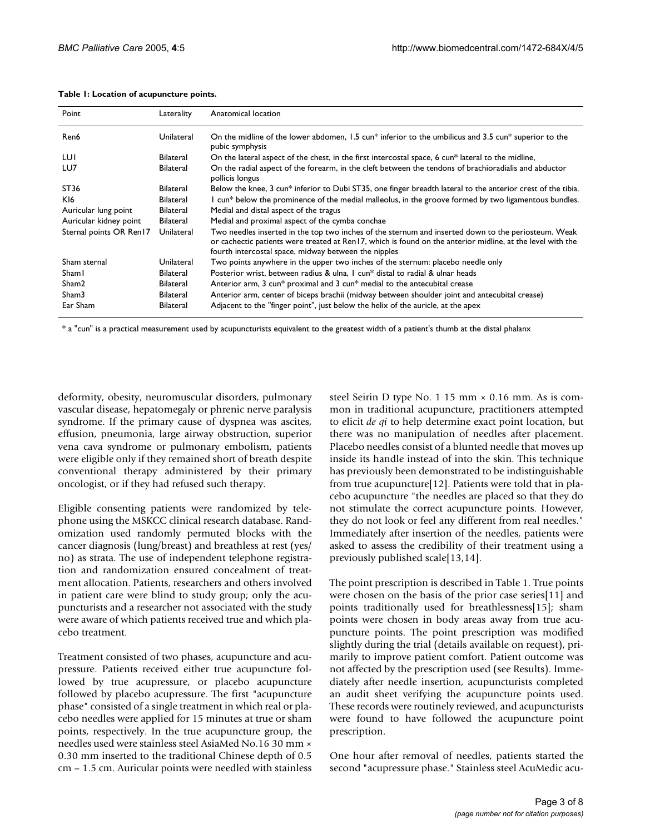| Point                   | Laterality       | Anatomical location                                                                                                                                                                                                                                                       |
|-------------------------|------------------|---------------------------------------------------------------------------------------------------------------------------------------------------------------------------------------------------------------------------------------------------------------------------|
|                         |                  |                                                                                                                                                                                                                                                                           |
| Ren6                    | Unilateral       | On the midline of the lower abdomen, 1.5 cun <sup>*</sup> inferior to the umbilicus and 3.5 cun <sup>*</sup> superior to the<br>pubic symphysis                                                                                                                           |
| LUI                     | Bilateral        | On the lateral aspect of the chest, in the first intercostal space, 6 cun <sup>*</sup> lateral to the midline,                                                                                                                                                            |
| LU7                     | Bilateral        | On the radial aspect of the forearm, in the cleft between the tendons of brachioradialis and abductor<br>pollicis longus                                                                                                                                                  |
| ST <sub>36</sub>        | Bilateral        | Below the knee, 3 cun* inferior to Dubi ST35, one finger breadth lateral to the anterior crest of the tibia.                                                                                                                                                              |
| KI <sub>6</sub>         | Bilateral        | I cun <sup>*</sup> below the prominence of the medial malleolus, in the groove formed by two ligamentous bundles.                                                                                                                                                         |
| Auricular lung point    | Bilateral        | Medial and distal aspect of the tragus                                                                                                                                                                                                                                    |
| Auricular kidney point  | <b>Bilateral</b> | Medial and proximal aspect of the cymba conchae                                                                                                                                                                                                                           |
| Sternal points OR Ren17 | Unilateral       | Two needles inserted in the top two inches of the sternum and inserted down to the periosteum. Weak<br>or cachectic patients were treated at Ren17, which is found on the anterior midline, at the level with the<br>fourth intercostal space, midway between the nipples |
| Sham sternal            | Unilateral       | Two points anywhere in the upper two inches of the sternum: placebo needle only                                                                                                                                                                                           |
| Sham I                  | Bilateral        | Posterior wrist, between radius & ulna, I cun* distal to radial & ulnar heads                                                                                                                                                                                             |
| Sham <sub>2</sub>       | Bilateral        | Anterior arm, 3 cun* proximal and 3 cun* medial to the antecubital crease                                                                                                                                                                                                 |
| Sham3                   | Bilateral        | Anterior arm, center of biceps brachii (midway between shoulder joint and antecubital crease)                                                                                                                                                                             |
| Ear Sham                | Bilateral        | Adjacent to the "finger point", just below the helix of the auricle, at the apex                                                                                                                                                                                          |

#### **Table 1: Location of acupuncture points.**

\* a "cun" is a practical measurement used by acupuncturists equivalent to the greatest width of a patient's thumb at the distal phalanx

deformity, obesity, neuromuscular disorders, pulmonary vascular disease, hepatomegaly or phrenic nerve paralysis syndrome. If the primary cause of dyspnea was ascites, effusion, pneumonia, large airway obstruction, superior vena cava syndrome or pulmonary embolism, patients were eligible only if they remained short of breath despite conventional therapy administered by their primary oncologist, or if they had refused such therapy.

Eligible consenting patients were randomized by telephone using the MSKCC clinical research database. Randomization used randomly permuted blocks with the cancer diagnosis (lung/breast) and breathless at rest (yes/ no) as strata. The use of independent telephone registration and randomization ensured concealment of treatment allocation. Patients, researchers and others involved in patient care were blind to study group; only the acupuncturists and a researcher not associated with the study were aware of which patients received true and which placebo treatment.

Treatment consisted of two phases, acupuncture and acupressure. Patients received either true acupuncture followed by true acupressure, or placebo acupuncture followed by placebo acupressure. The first "acupuncture phase" consisted of a single treatment in which real or placebo needles were applied for 15 minutes at true or sham points, respectively. In the true acupuncture group, the needles used were stainless steel AsiaMed No.16 30 mm × 0.30 mm inserted to the traditional Chinese depth of 0.5 cm – 1.5 cm. Auricular points were needled with stainless steel Seirin D type No. 1 15 mm  $\times$  0.16 mm. As is common in traditional acupuncture, practitioners attempted to elicit *de qi* to help determine exact point location, but there was no manipulation of needles after placement. Placebo needles consist of a blunted needle that moves up inside its handle instead of into the skin. This technique has previously been demonstrated to be indistinguishable from true acupuncture[12]. Patients were told that in placebo acupuncture "the needles are placed so that they do not stimulate the correct acupuncture points. However, they do not look or feel any different from real needles." Immediately after insertion of the needles, patients were asked to assess the credibility of their treatment using a previously published scale[13,14].

The point prescription is described in Table 1. True points were chosen on the basis of the prior case series[11] and points traditionally used for breathlessness[15]; sham points were chosen in body areas away from true acupuncture points. The point prescription was modified slightly during the trial (details available on request), primarily to improve patient comfort. Patient outcome was not affected by the prescription used (see Results). Immediately after needle insertion, acupuncturists completed an audit sheet verifying the acupuncture points used. These records were routinely reviewed, and acupuncturists were found to have followed the acupuncture point prescription.

One hour after removal of needles, patients started the second "acupressure phase." Stainless steel AcuMedic acu-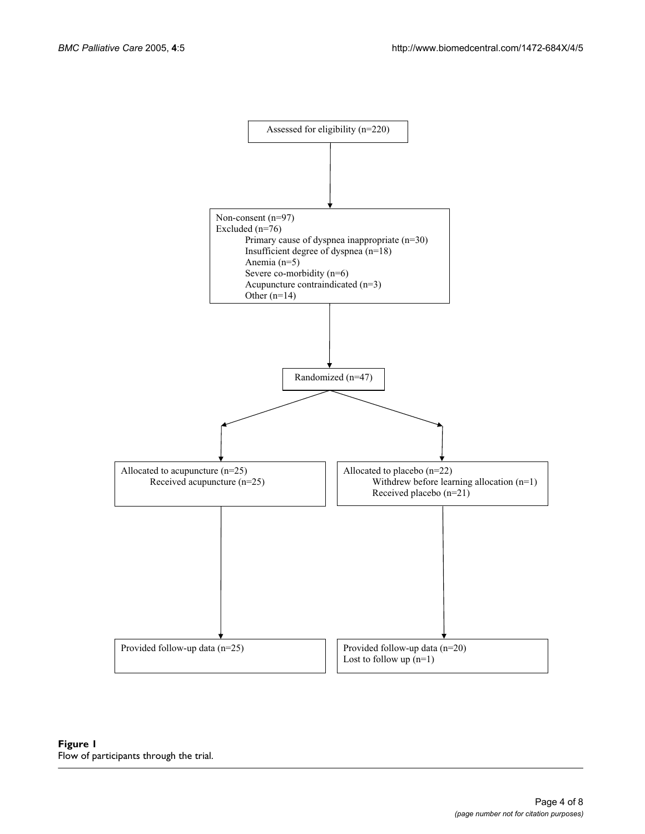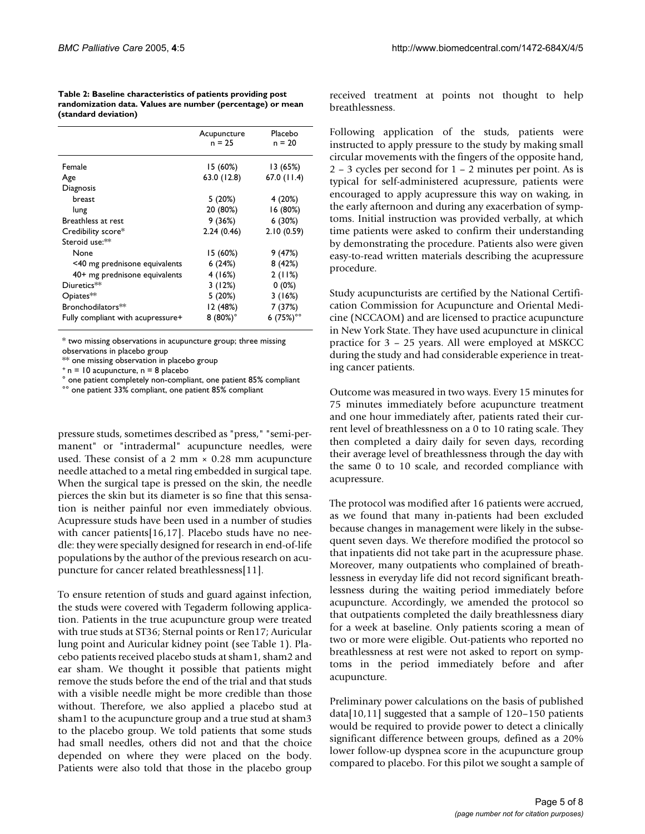**Table 2: Baseline characteristics of patients providing post randomization data. Values are number (percentage) or mean (standard deviation)**

| Acupuncture<br>$n = 25$ | Placebo<br>n = 20  |
|-------------------------|--------------------|
| 15 (60%)                | 13 (65%)           |
| 63.0 (12.8)             | 67.0 (11.4)        |
|                         |                    |
| 5 (20%)                 | 4 (20%)            |
| 20 (80%)                | 16 (80%)           |
| 9 (36%)                 | $6(30\%)$          |
| 2.24(0.46)              | 2.10(0.59)         |
|                         |                    |
| 15 (60%)                | 9(47%)             |
| 6(24%)                  | 8(42%)             |
| 4(16%)                  | 2(11%)             |
| 3(12%)                  | $0(0\%)$           |
| 5 (20%)                 | 3(16%)             |
| 12 (48%)                | 7 (37%)            |
| $8(80\%)$ °             | 6 (75%) $^{\circ}$ |
|                         |                    |

\* two missing observations in acupuncture group; three missing observations in placebo group

\*\* one missing observation in placebo group

 $+ n = 10$  acupuncture,  $n = 8$  placebo

° one patient completely non-compliant, one patient 85% compliant

°° one patient 33% compliant, one patient 85% compliant

pressure studs, sometimes described as "press," "semi-permanent" or "intradermal" acupuncture needles, were used. These consist of a 2 mm  $\times$  0.28 mm acupuncture needle attached to a metal ring embedded in surgical tape. When the surgical tape is pressed on the skin, the needle pierces the skin but its diameter is so fine that this sensation is neither painful nor even immediately obvious. Acupressure studs have been used in a number of studies with cancer patients[16,17]. Placebo studs have no needle: they were specially designed for research in end-of-life populations by the author of the previous research on acupuncture for cancer related breathlessness[11].

To ensure retention of studs and guard against infection, the studs were covered with Tegaderm following application. Patients in the true acupuncture group were treated with true studs at ST36; Sternal points or Ren17; Auricular lung point and Auricular kidney point (see Table 1). Placebo patients received placebo studs at sham1, sham2 and ear sham. We thought it possible that patients might remove the studs before the end of the trial and that studs with a visible needle might be more credible than those without. Therefore, we also applied a placebo stud at sham1 to the acupuncture group and a true stud at sham3 to the placebo group. We told patients that some studs had small needles, others did not and that the choice depended on where they were placed on the body. Patients were also told that those in the placebo group

received treatment at points not thought to help breathlessness.

Following application of the studs, patients were instructed to apply pressure to the study by making small circular movements with the fingers of the opposite hand, 2 – 3 cycles per second for 1 – 2 minutes per point. As is typical for self-administered acupressure, patients were encouraged to apply acupressure this way on waking, in the early afternoon and during any exacerbation of symptoms. Initial instruction was provided verbally, at which time patients were asked to confirm their understanding by demonstrating the procedure. Patients also were given easy-to-read written materials describing the acupressure procedure.

Study acupuncturists are certified by the National Certification Commission for Acupuncture and Oriental Medicine (NCCAOM) and are licensed to practice acupuncture in New York State. They have used acupuncture in clinical practice for 3 – 25 years. All were employed at MSKCC during the study and had considerable experience in treating cancer patients.

Outcome was measured in two ways. Every 15 minutes for 75 minutes immediately before acupuncture treatment and one hour immediately after, patients rated their current level of breathlessness on a 0 to 10 rating scale. They then completed a dairy daily for seven days, recording their average level of breathlessness through the day with the same 0 to 10 scale, and recorded compliance with acupressure.

The protocol was modified after 16 patients were accrued, as we found that many in-patients had been excluded because changes in management were likely in the subsequent seven days. We therefore modified the protocol so that inpatients did not take part in the acupressure phase. Moreover, many outpatients who complained of breathlessness in everyday life did not record significant breathlessness during the waiting period immediately before acupuncture. Accordingly, we amended the protocol so that outpatients completed the daily breathlessness diary for a week at baseline. Only patients scoring a mean of two or more were eligible. Out-patients who reported no breathlessness at rest were not asked to report on symptoms in the period immediately before and after acupuncture.

Preliminary power calculations on the basis of published data[10,11] suggested that a sample of 120–150 patients would be required to provide power to detect a clinically significant difference between groups, defined as a 20% lower follow-up dyspnea score in the acupuncture group compared to placebo. For this pilot we sought a sample of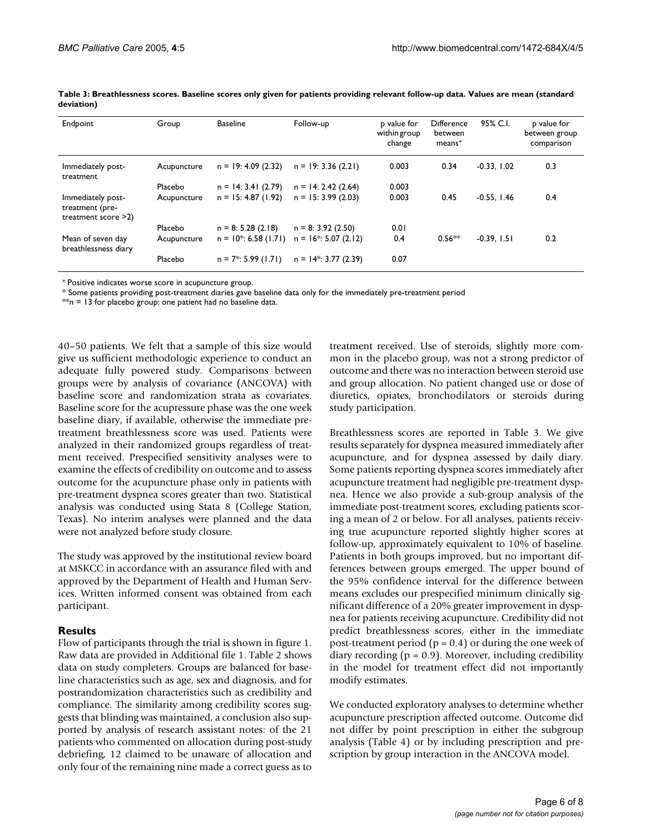| Endpoint                                                       | Group       | <b>Baseline</b>                     | Follow-up                           | p value for<br>within group<br>change | <b>Difference</b><br>between<br>means <sup>+</sup> | 95% C.I.      | p value for<br>between group<br>comparison |
|----------------------------------------------------------------|-------------|-------------------------------------|-------------------------------------|---------------------------------------|----------------------------------------------------|---------------|--------------------------------------------|
| Immediately post-<br>treatment                                 | Acupuncture | $n = 19: 4.09 (2.32)$               | $n = 19: 3.36 (2.21)$               | 0.003                                 | 0.34                                               | $-0.33.1.02$  | 0.3                                        |
|                                                                | Placebo     | $n = 14: 3.41 (2.79)$               | $n = 14: 2.42 (2.64)$               | 0.003                                 |                                                    |               |                                            |
| Immediately post-<br>treatment (pre-<br>treatment score $>2$ ) | Acupuncture | $n = 15: 4.87 (1.92)$               | $n = 15: 3.99 (2.03)$               | 0.003                                 | 0.45                                               | $-0.55, 1.46$ | 0.4                                        |
|                                                                | Placebo     | $n = 8: 5.28(2.18)$                 | $n = 8: 3.92 (2.50)$                | 0.01                                  |                                                    |               |                                            |
| Mean of seven day<br>breathlessness diary                      | Acupuncture | $n = 10$ <sup>*</sup> : 6.58 (1.71) | $n = 16$ <sup>*</sup> : 5.07 (2.12) | 0.4                                   | $0.56**$                                           | $-0.39, 1.51$ | 0.2                                        |
|                                                                | Placebo     | $n = 7$ <sup>*</sup> : 5.99 (1.71)  | $n = 14$ <sup>*</sup> : 3.77 (2.39) | 0.07                                  |                                                    |               |                                            |

**Table 3: Breathlessness scores. Baseline scores only given for patients providing relevant follow-up data. Values are mean (standard deviation)**

+ Positive indicates worse score in acupuncture group.

\* Some patients providing post-treatment diaries gave baseline data only for the immediately pre-treatment period

 $**n = 13$  for placebo group: one patient had no baseline data.

40–50 patients. We felt that a sample of this size would give us sufficient methodologic experience to conduct an adequate fully powered study. Comparisons between groups were by analysis of covariance (ANCOVA) with baseline score and randomization strata as covariates. Baseline score for the acupressure phase was the one week baseline diary, if available, otherwise the immediate pretreatment breathlessness score was used. Patients were analyzed in their randomized groups regardless of treatment received. Prespecified sensitivity analyses were to examine the effects of credibility on outcome and to assess outcome for the acupuncture phase only in patients with pre-treatment dyspnea scores greater than two. Statistical analysis was conducted using Stata 8 (College Station, Texas). No interim analyses were planned and the data were not analyzed before study closure.

The study was approved by the institutional review board at MSKCC in accordance with an assurance filed with and approved by the Department of Health and Human Services. Written informed consent was obtained from each participant.

#### **Results**

Flow of participants through the trial is shown in figure 1. Raw data are provided in Additional file 1. Table 2 shows data on study completers. Groups are balanced for baseline characteristics such as age, sex and diagnosis, and for postrandomization characteristics such as credibility and compliance. The similarity among credibility scores suggests that blinding was maintained, a conclusion also supported by analysis of research assistant notes: of the 21 patients who commented on allocation during post-study debriefing, 12 claimed to be unaware of allocation and only four of the remaining nine made a correct guess as to treatment received. Use of steroids, slightly more common in the placebo group, was not a strong predictor of outcome and there was no interaction between steroid use and group allocation. No patient changed use or dose of diuretics, opiates, bronchodilators or steroids during study participation.

Breathlessness scores are reported in Table 3. We give results separately for dyspnea measured immediately after acupuncture, and for dyspnea assessed by daily diary. Some patients reporting dyspnea scores immediately after acupuncture treatment had negligible pre-treatment dyspnea. Hence we also provide a sub-group analysis of the immediate post-treatment scores, excluding patients scoring a mean of 2 or below. For all analyses, patients receiving true acupuncture reported slightly higher scores at follow-up, approximately equivalent to 10% of baseline. Patients in both groups improved, but no important differences between groups emerged. The upper bound of the 95% confidence interval for the difference between means excludes our prespecified minimum clinically significant difference of a 20% greater improvement in dyspnea for patients receiving acupuncture. Credibility did not predict breathlessness scores, either in the immediate post-treatment period ( $p = 0.4$ ) or during the one week of diary recording ( $p = 0.9$ ). Moreover, including credibility in the model for treatment effect did not importantly modify estimates.

We conducted exploratory analyses to determine whether acupuncture prescription affected outcome. Outcome did not differ by point prescription in either the subgroup analysis (Table 4) or by including prescription and prescription by group interaction in the ANCOVA model.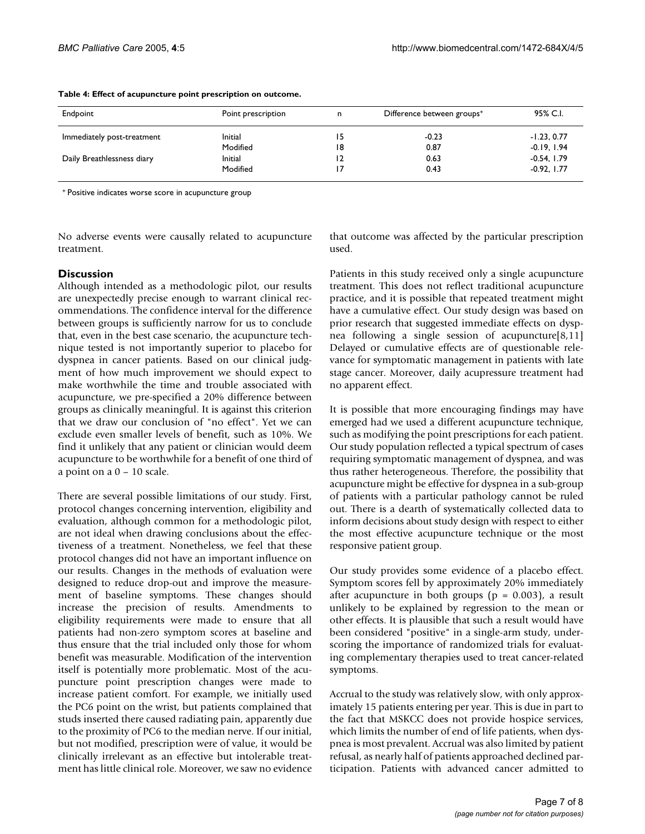| Endpoint                   | Point prescription | n  | Difference between groups <sup>+</sup> | 95% C.I.         |  |
|----------------------------|--------------------|----|----------------------------------------|------------------|--|
| Immediately post-treatment | Initial            | 15 | $-0.23$                                | $-1.23, 0.77$    |  |
|                            | Modified           | 18 | 0.87                                   | $-0.19, 1.94$    |  |
| Daily Breathlessness diary | Initial            | 12 | 0.63                                   | $-0.54$ , $1.79$ |  |
|                            | Modified           | 7  | 0.43                                   | $-0.92, 1.77$    |  |

#### **Table 4: Effect of acupuncture point prescription on outcome.**

+ Positive indicates worse score in acupuncture group

No adverse events were causally related to acupuncture treatment.

#### **Discussion**

Although intended as a methodologic pilot, our results are unexpectedly precise enough to warrant clinical recommendations. The confidence interval for the difference between groups is sufficiently narrow for us to conclude that, even in the best case scenario, the acupuncture technique tested is not importantly superior to placebo for dyspnea in cancer patients. Based on our clinical judgment of how much improvement we should expect to make worthwhile the time and trouble associated with acupuncture, we pre-specified a 20% difference between groups as clinically meaningful. It is against this criterion that we draw our conclusion of "no effect". Yet we can exclude even smaller levels of benefit, such as 10%. We find it unlikely that any patient or clinician would deem acupuncture to be worthwhile for a benefit of one third of a point on a 0 – 10 scale.

There are several possible limitations of our study. First, protocol changes concerning intervention, eligibility and evaluation, although common for a methodologic pilot, are not ideal when drawing conclusions about the effectiveness of a treatment. Nonetheless, we feel that these protocol changes did not have an important influence on our results. Changes in the methods of evaluation were designed to reduce drop-out and improve the measurement of baseline symptoms. These changes should increase the precision of results. Amendments to eligibility requirements were made to ensure that all patients had non-zero symptom scores at baseline and thus ensure that the trial included only those for whom benefit was measurable. Modification of the intervention itself is potentially more problematic. Most of the acupuncture point prescription changes were made to increase patient comfort. For example, we initially used the PC6 point on the wrist, but patients complained that studs inserted there caused radiating pain, apparently due to the proximity of PC6 to the median nerve. If our initial, but not modified, prescription were of value, it would be clinically irrelevant as an effective but intolerable treatment has little clinical role. Moreover, we saw no evidence that outcome was affected by the particular prescription used.

Patients in this study received only a single acupuncture treatment. This does not reflect traditional acupuncture practice, and it is possible that repeated treatment might have a cumulative effect. Our study design was based on prior research that suggested immediate effects on dyspnea following a single session of acupuncture[8,11] Delayed or cumulative effects are of questionable relevance for symptomatic management in patients with late stage cancer. Moreover, daily acupressure treatment had no apparent effect.

It is possible that more encouraging findings may have emerged had we used a different acupuncture technique, such as modifying the point prescriptions for each patient. Our study population reflected a typical spectrum of cases requiring symptomatic management of dyspnea, and was thus rather heterogeneous. Therefore, the possibility that acupuncture might be effective for dyspnea in a sub-group of patients with a particular pathology cannot be ruled out. There is a dearth of systematically collected data to inform decisions about study design with respect to either the most effective acupuncture technique or the most responsive patient group.

Our study provides some evidence of a placebo effect. Symptom scores fell by approximately 20% immediately after acupuncture in both groups ( $p = 0.003$ ), a result unlikely to be explained by regression to the mean or other effects. It is plausible that such a result would have been considered "positive" in a single-arm study, underscoring the importance of randomized trials for evaluating complementary therapies used to treat cancer-related symptoms.

Accrual to the study was relatively slow, with only approximately 15 patients entering per year. This is due in part to the fact that MSKCC does not provide hospice services, which limits the number of end of life patients, when dyspnea is most prevalent. Accrual was also limited by patient refusal, as nearly half of patients approached declined participation. Patients with advanced cancer admitted to